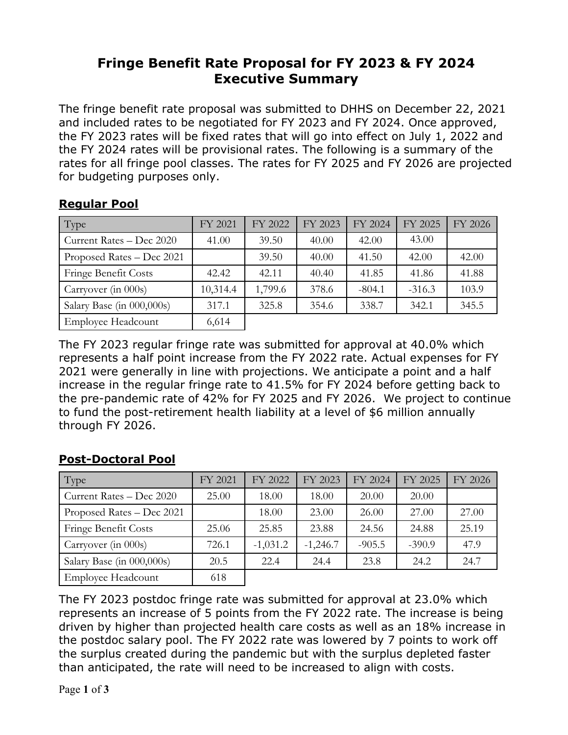# **Fringe Benefit Rate Proposal for FY 2023 & FY 2024 Executive Summary**

The fringe benefit rate proposal was submitted to DHHS on December 22, 2021 and included rates to be negotiated for FY 2023 and FY 2024. Once approved, the FY 2023 rates will be fixed rates that will go into effect on July 1, 2022 and the FY 2024 rates will be provisional rates. The following is a summary of the rates for all fringe pool classes. The rates for FY 2025 and FY 2026 are projected for budgeting purposes only.

#### **Regular Pool**

| Type                        | FY 2021  | FY 2022 | FY 2023 | FY 2024  | FY 2025  | FY 2026 |
|-----------------------------|----------|---------|---------|----------|----------|---------|
| Current Rates - Dec 2020    | 41.00    | 39.50   | 40.00   | 42.00    | 43.00    |         |
| Proposed Rates - Dec 2021   |          | 39.50   | 40.00   | 41.50    | 42.00    | 42.00   |
| <b>Fringe Benefit Costs</b> | 42.42    | 42.11   | 40.40   | 41.85    | 41.86    | 41.88   |
| Carryover (in 000s)         | 10,314.4 | 1,799.6 | 378.6   | $-804.1$ | $-316.3$ | 103.9   |
| Salary Base (in 000,000s)   | 317.1    | 325.8   | 354.6   | 338.7    | 342.1    | 345.5   |
| <b>Employee Headcount</b>   | 6,614    |         |         |          |          |         |

The FY 2023 regular fringe rate was submitted for approval at 40.0% which represents a half point increase from the FY 2022 rate. Actual expenses for FY 2021 were generally in line with projections. We anticipate a point and a half increase in the regular fringe rate to 41.5% for FY 2024 before getting back to the pre-pandemic rate of 42% for FY 2025 and FY 2026. We project to continue to fund the post-retirement health liability at a level of \$6 million annually through FY 2026.

## **Post-Doctoral Pool**

| Type                      | FY 2021 | FY 2022    | FY 2023    | FY 2024  | FY 2025  | FY 2026 |
|---------------------------|---------|------------|------------|----------|----------|---------|
| Current Rates - Dec 2020  | 25.00   | 18.00      | 18.00      | 20.00    | 20.00    |         |
| Proposed Rates – Dec 2021 |         | 18.00      | 23.00      | 26.00    | 27.00    | 27.00   |
| Fringe Benefit Costs      | 25.06   | 25.85      | 23.88      | 24.56    | 24.88    | 25.19   |
| Carryover (in 000s)       | 726.1   | $-1,031.2$ | $-1,246.7$ | $-905.5$ | $-390.9$ | 47.9    |
| Salary Base (in 000,000s) | 20.5    | 22.4       | 24.4       | 23.8     | 24.2     | 24.7    |
| <b>Employee Headcount</b> | 618     |            |            |          |          |         |

The FY 2023 postdoc fringe rate was submitted for approval at 23.0% which represents an increase of 5 points from the FY 2022 rate. The increase is being driven by higher than projected health care costs as well as an 18% increase in the postdoc salary pool. The FY 2022 rate was lowered by 7 points to work off the surplus created during the pandemic but with the surplus depleted faster than anticipated, the rate will need to be increased to align with costs.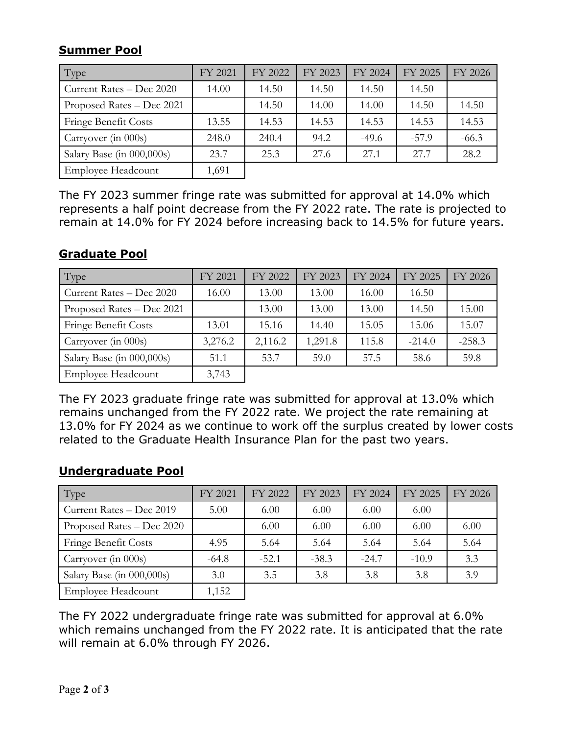### **Summer Pool**

| Type                      | FY 2021 | FY 2022 | FY 2023 | FY 2024 | FY 2025 | FY 2026 |
|---------------------------|---------|---------|---------|---------|---------|---------|
| Current Rates - Dec 2020  | 14.00   | 14.50   | 14.50   | 14.50   | 14.50   |         |
| Proposed Rates – Dec 2021 |         | 14.50   | 14.00   | 14.00   | 14.50   | 14.50   |
| Fringe Benefit Costs      | 13.55   | 14.53   | 14.53   | 14.53   | 14.53   | 14.53   |
| Carryover (in 000s)       | 248.0   | 240.4   | 94.2    | $-49.6$ | $-57.9$ | $-66.3$ |
| Salary Base (in 000,000s) | 23.7    | 25.3    | 27.6    | 27.1    | 27.7    | 28.2    |
| <b>Employee Headcount</b> | 1,691   |         |         |         |         |         |

The FY 2023 summer fringe rate was submitted for approval at 14.0% which represents a half point decrease from the FY 2022 rate. The rate is projected to remain at 14.0% for FY 2024 before increasing back to 14.5% for future years.

#### **Graduate Pool**

| Type                      | FY 2021 | FY 2022 | FY 2023 | FY 2024 | FY 2025  | FY 2026  |
|---------------------------|---------|---------|---------|---------|----------|----------|
| Current Rates - Dec 2020  | 16.00   | 13.00   | 13.00   | 16.00   | 16.50    |          |
| Proposed Rates - Dec 2021 |         | 13.00   | 13.00   | 13.00   | 14.50    | 15.00    |
| Fringe Benefit Costs      | 13.01   | 15.16   | 14.40   | 15.05   | 15.06    | 15.07    |
| Carryover (in 000s)       | 3,276.2 | 2,116.2 | 1,291.8 | 115.8   | $-214.0$ | $-258.3$ |
| Salary Base (in 000,000s) | 51.1    | 53.7    | 59.0    | 57.5    | 58.6     | 59.8     |
| <b>Employee Headcount</b> | 3,743   |         |         |         |          |          |

The FY 2023 graduate fringe rate was submitted for approval at 13.0% which remains unchanged from the FY 2022 rate. We project the rate remaining at 13.0% for FY 2024 as we continue to work off the surplus created by lower costs related to the Graduate Health Insurance Plan for the past two years.

#### **Undergraduate Pool**

| Type                      | FY 2021 | FY 2022 | FY 2023 | FY 2024 | FY 2025 | FY 2026 |
|---------------------------|---------|---------|---------|---------|---------|---------|
| Current Rates - Dec 2019  | 5.00    | 6.00    | 6.00    | 6.00    | 6.00    |         |
| Proposed Rates – Dec 2020 |         | 6.00    | 6.00    | 6.00    | 6.00    | 6.00    |
| Fringe Benefit Costs      | 4.95    | 5.64    | 5.64    | 5.64    | 5.64    | 5.64    |
| Carryover (in 000s)       | $-64.8$ | $-52.1$ | $-38.3$ | $-24.7$ | $-10.9$ | 3.3     |
| Salary Base (in 000,000s) | 3.0     | 3.5     | 3.8     | 3.8     | 3.8     | 3.9     |
| <b>Employee Headcount</b> | 1,152   |         |         |         |         |         |

The FY 2022 undergraduate fringe rate was submitted for approval at 6.0% which remains unchanged from the FY 2022 rate. It is anticipated that the rate will remain at 6.0% through FY 2026.